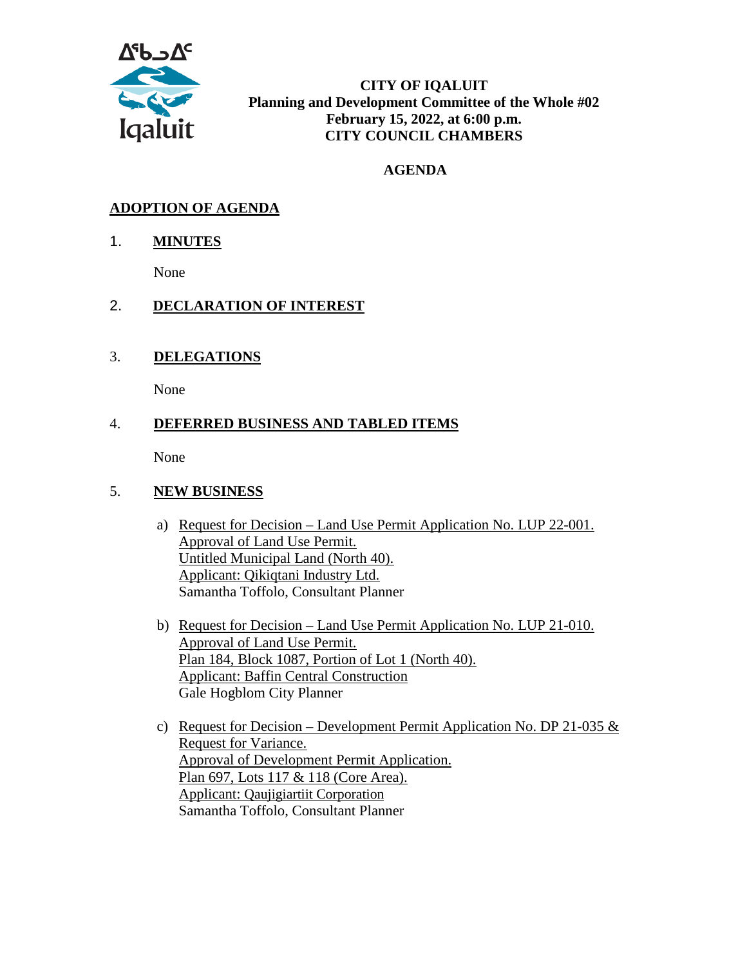

**CITY OF IQALUIT Planning and Development Committee of the Whole #02 February 15, 2022, at 6:00 p.m. CITY COUNCIL CHAMBERS**

#### **AGENDA**

#### **ADOPTION OF AGENDA**

1. **MINUTES**

None

#### 2. **DECLARATION OF INTEREST**

3. **DELEGATIONS**

None

#### 4. **DEFERRED BUSINESS AND TABLED ITEMS**

None

#### 5. **NEW BUSINESS**

- a) Request for Decision Land Use Permit Application No. LUP 22-001. Approval of Land Use Permit. Untitled Municipal Land (North 40). Applicant: Qikiqtani Industry Ltd. Samantha Toffolo, Consultant Planner
- b) Request for Decision Land Use Permit Application No. LUP 21-010. Approval of Land Use Permit. Plan 184, Block 1087, Portion of Lot 1 (North 40). Applicant: Baffin Central Construction Gale Hogblom City Planner
- c) Request for Decision Development Permit Application No. DP 21-035  $&$ Request for Variance. Approval of Development Permit Application. Plan 697, Lots 117 & 118 (Core Area). Applicant: Qaujigiartiit Corporation Samantha Toffolo, Consultant Planner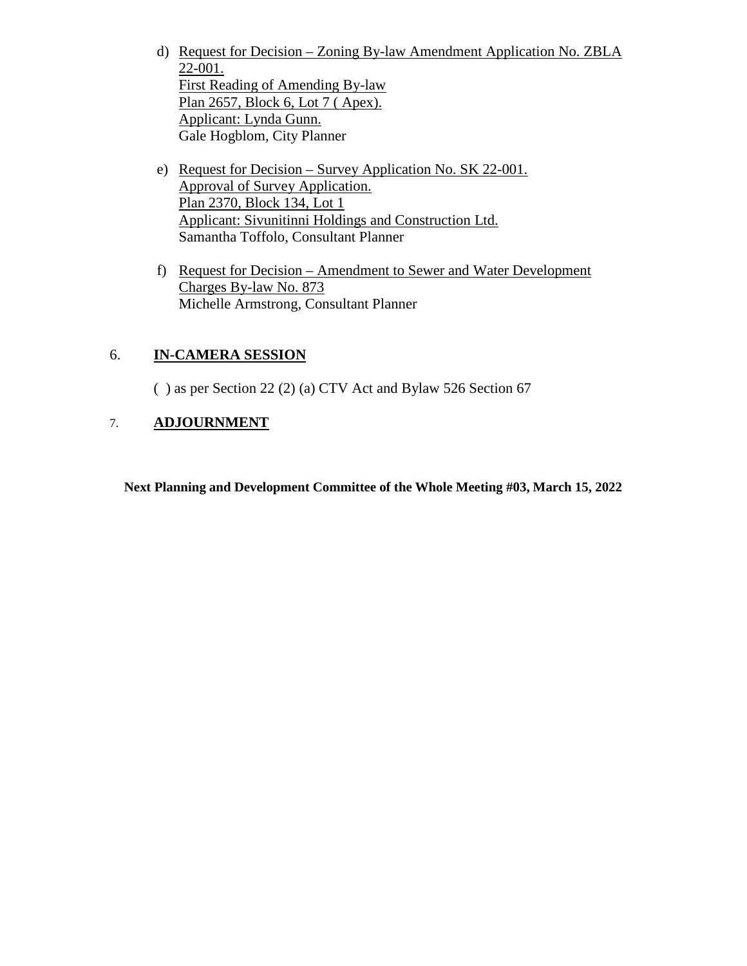- d) Request for Decision Zoning By-law Amendment Application No. ZBLA 22-001. First Reading of Amending By-law Plan 2657, Block 6, Lot 7 ( Apex). Applicant: Lynda Gunn. Gale Hogblom, City Planner
- e) Request for Decision Survey Application No. SK 22-001. Approval of Survey Application. Plan 2370, Block 134, Lot 1 Applicant: Sivunitinni Holdings and Construction Ltd. Samantha Toffolo, Consultant Planner
- f) Request for Decision Amendment to Sewer and Water Development Charges By-law No. 873 Michelle Armstrong, Consultant Planner

#### 6. **IN-CAMERA SESSION**

( ) as per Section 22 (2) (a) CTV Act and Bylaw 526 Section 67

#### 7. **ADJOURNMENT**

**Next Planning and Development Committee of the Whole Meeting #03, March 15, 2022**